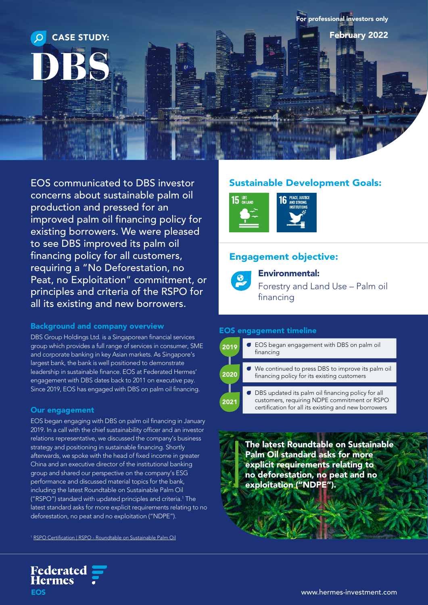

EOS communicated to DBS investor concerns about sustainable palm oil production and pressed for an improved palm oil financing policy for existing borrowers. We were pleased to see DBS improved its palm oil financing policy for all customers, requiring a "No Deforestation, no Peat, no Exploitation" commitment, or principles and criteria of the RSPO for all its existing and new borrowers.

### Background and company overview

DBS Group Holdings Ltd. is a Singaporean financial services group which provides a full range of services in consumer, SME and corporate banking in key Asian markets. As Singapore's largest bank, the bank is well positioned to demonstrate leadership in sustainable finance. EOS at Federated Hermes' engagement with DBS dates back to 2011 on executive pay. Since 2019, EOS has engaged with DBS on palm oil financing.

### Our engagement

**Federated<br>Hermes** 

**EOS** 

EOS began engaging with DBS on palm oil financing in January 2019. In a call with the chief sustainability officer and an investor relations representative, we discussed the company's business strategy and positioning in sustainable financing. Shortly afterwards, we spoke with the head of fixed income in greater China and an executive director of the institutional banking group and shared our perspective on the company's ESG performance and discussed material topics for the bank, including the latest Roundtable on Sustainable Palm Oil ("RSPO") standard with updated principles and criteria.1 The latest standard asks for more explicit requirements relating to no deforestation, no peat and no exploitation ("NDPE").

<sup>1</sup> [RSPO Certification | RSPO - Roundtable on Sustainable Palm Oil](https://www.rspo.org/certification)

# Sustainable Development Goals:



## Engagement objective:



Environmental:

Forestry and Land Use – Palm oil financing

### EOS engagement timeline



The latest Roundtable on Sustainable Palm Oil standard asks for more explicit requirements relating to no deforestation, no peat and no exploitation ("NDPE").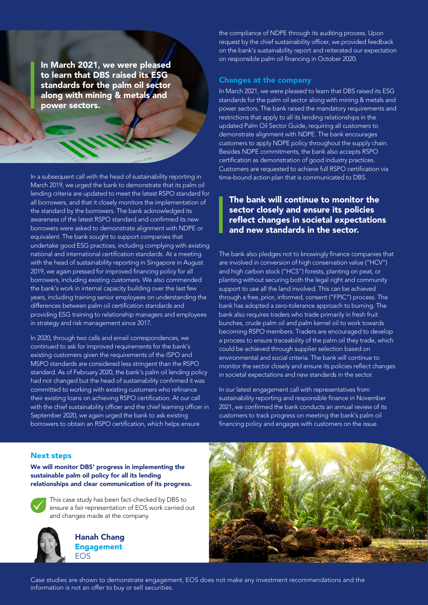In March 2021, we were pleased to learn that DBS raised its ESG standards for the palm oil sector along with mining & metals and power sectors.

In a subsequent call with the head of sustainability reporting in March 2019, we urged the bank to demonstrate that its palm oil lending criteria are updated to meet the latest RSPO standard for all borrowers, and that it closely monitors the implementation of the standard by the borrowers. The bank acknowledged its awareness of the latest RSPO standard and confirmed its new borrowers were asked to demonstrate alignment with NDPE or equivalent. The bank sought to support companies that undertake good ESG practices, including complying with existing national and international certification standards. At a meeting with the head of sustainability reporting in Singapore in August 2019, we again pressed for improved financing policy for all borrowers, including existing customers. We also commended the bank's work in internal capacity building over the last few years, including training senior employees on understanding the differences between palm oil certification standards and providing ESG training to relationship managers and employees in strategy and risk management since 2017.

In 2020, through two calls and email correspondences, we continued to ask for improved requirements for the bank's existing customers given the requirements of the ISPO and MSPO standards are considered less stringent than the RSPO standard. As of February 2020, the bank's palm oil lending policy had not changed but the head of sustainability confirmed it was committed to working with existing customers who refinance their existing loans on achieving RSPO certification. At our call with the chief sustainability officer and the chief learning officer in September 2020, we again urged the bank to ask existing borrowers to obtain an RSPO certification, which helps ensure

the compliance of NDPE through its auditing process. Upon request by the chief sustainability officer, we provided feedback on the bank's sustainability report and reiterated our expectation on responsible palm oil financing in October 2020.

#### Changes at the company

In March 2021, we were pleased to learn that DBS raised its ESG standards for the palm oil sector along with mining & metals and power sectors. The bank raised the mandatory requirements and restrictions that apply to all its lending relationships in the updated Palm Oil Sector Guide, requiring all customers to demonstrate alignment with NDPE. The bank encourages customers to apply NDPE policy throughout the supply chain. Besides NDPE commitments, the bank also accepts RSPO certification as demonstration of good industry practices. Customers are requested to achieve full RSPO certification via time-bound action plan that is communicated to DBS.

### The bank will continue to monitor the sector closely and ensure its policies reflect changes in societal expectations and new standards in the sector.

The bank also pledges not to knowingly finance companies that are involved in conversion of high conservation value ("HCV") and high carbon stock ("HCS") forests, planting on peat, or planting without securing both the legal right and community support to use all the land involved. This can be achieved through a free, prior, informed, consent ("FPIC") process. The bank has adopted a zero-tolerance approach to burning. The bank also requires traders who trade primarily in fresh fruit bunches, crude palm oil and palm kernel oil to work towards becoming RSPO members. Traders are encouraged to develop a process to ensure traceability of the palm oil they trade, which could be achieved through supplier selection based on environmental and social criteria. The bank will continue to monitor the sector closely and ensure its policies reflect changes in societal expectations and new standards in the sector.

In our latest engagement call with representatives from sustainability reporting and responsible finance in November 2021, we confirmed the bank conducts an annual review of its customers to track progress on meeting the bank's palm oil financing policy and engages with customers on the issue.

#### Next steps

### We will monitor DBS' progress in implementing the sustainable palm oil policy for all its lending relationships and clear communication of its progress.



 This case study has been fact-checked by DBS to ensure a fair representation of EOS work carried out and changes made at the company.



Hanah Chang Engagement EOS



Case studies are shown to demonstrate engagement, EOS does not make any investment recommendations and the information is not an offer to buy or sell securities.